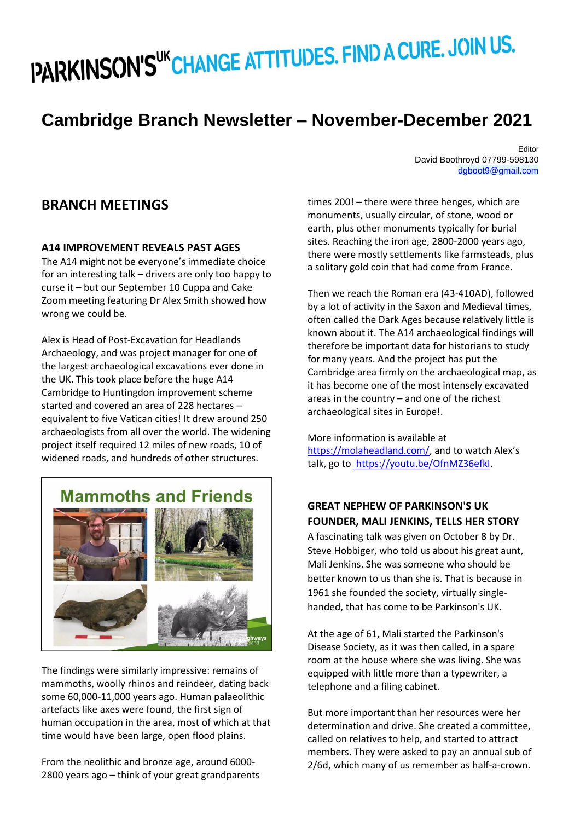# PARKINSON'S "CHANGE ATTITUDES. FIND A CURE. JOIN US.

# **Cambridge Branch Newsletter – November-December 2021**

Editor David Boothroyd 07799-598130 dgboot9@gmail.com

## **BRANCH MEETINGS**

#### **A14 IMPROVEMENT REVEALS PAST AGES**

The A14 might not be everyone's immediate choice for an interesting talk – drivers are only too happy to curse it – but our September 10 Cuppa and Cake Zoom meeting featuring Dr Alex Smith showed how wrong we could be.

Alex is Head of Post-Excavation for Headlands Archaeology, and was project manager for one of the largest archaeological excavations ever done in the UK. This took place before the huge A14 Cambridge to Huntingdon improvement scheme started and covered an area of 228 hectares – equivalent to five Vatican cities! It drew around 250 archaeologists from all over the world. The widening project itself required 12 miles of new roads, 10 of widened roads, and hundreds of other structures.



The findings were similarly impressive: remains of mammoths, woolly rhinos and reindeer, dating back some 60,000-11,000 years ago. Human palaeolithic artefacts like axes were found, the first sign of human occupation in the area, most of which at that time would have been large, open flood plains.

From the neolithic and bronze age, around 6000- 2800 years ago – think of your great grandparents times 200! – there were three henges, which are monuments, usually circular, of stone, wood or earth, plus other monuments typically for burial sites. Reaching the iron age, 2800-2000 years ago, there were mostly settlements like farmsteads, plus a solitary gold coin that had come from France.

Then we reach the Roman era (43-410AD), followed by a lot of activity in the Saxon and Medieval times, often called the Dark Ages because relatively little is known about it. The A14 archaeological findings will therefore be important data for historians to study for many years. And the project has put the Cambridge area firmly on the archaeological map, as it has become one of the most intensely excavated areas in the country – and one of the richest archaeological sites in Europe!.

More information is available at <https://molaheadland.com/>, and to watch Alex's talk, go t[o https://youtu.be/OfnMZ36efkI.](file:///C:/Users/user/AppData/Local/Microsoft/Windows/INetCache/Content.Outlook/KRRVFNG5/ https:/youtu.be/OfnMZ36efkI)

### **GREAT NEPHEW OF PARKINSON'S UK FOUNDER, MALI JENKINS, TELLS HER STORY**

A fascinating talk was given on October 8 by Dr. Steve Hobbiger, who told us about his great aunt, Mali Jenkins. She was someone who should be better known to us than she is. That is because in 1961 she founded the society, virtually singlehanded, that has come to be Parkinson's UK.

At the age of 61, Mali started the Parkinson's Disease Society, as it was then called, in a spare room at the house where she was living. She was equipped with little more than a typewriter, a telephone and a filing cabinet.

But more important than her resources were her determination and drive. She created a committee, called on relatives to help, and started to attract members. They were asked to pay an annual sub of 2/6d, which many of us remember as half-a-crown.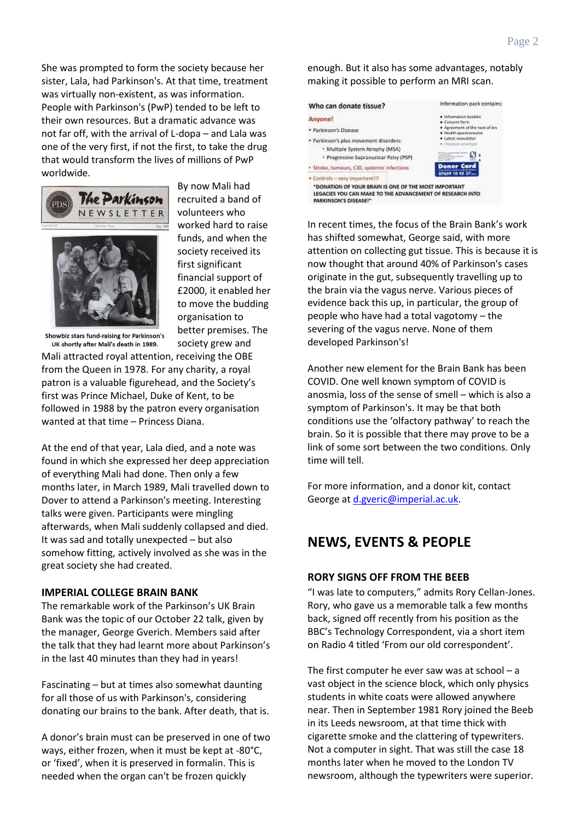She was prompted to form the society because her sister, Lala, had Parkinson's. At that time, treatment was virtually non-existent, as was information. People with Parkinson's (PwP) tended to be left to their own resources. But a dramatic advance was not far off, with the arrival of L-dopa – and Lala was one of the very first, if not the first, to take the drug that would transform the lives of millions of PwP worldwide.





By now Mali had recruited a band of volunteers who worked hard to raise funds, and when the society received its first significant financial support of £2000, it enabled her to move the budding organisation to better premises. The society grew and

Showbiz stars fund-raising for Parkinson's UK shortly after Mali's death in 1989.

Mali attracted royal attention, receiving the OBE from the Queen in 1978. For any charity, a royal patron is a valuable figurehead, and the Society's first was Prince Michael, Duke of Kent, to be followed in 1988 by the patron every organisation wanted at that time – Princess Diana.

At the end of that year, Lala died, and a note was found in which she expressed her deep appreciation of everything Mali had done. Then only a few months later, in March 1989, Mali travelled down to Dover to attend a Parkinson's meeting. Interesting talks were given. Participants were mingling afterwards, when Mali suddenly collapsed and died. It was sad and totally unexpected – but also somehow fitting, actively involved as she was in the great society she had created.

#### **IMPERIAL COLLEGE BRAIN BANK**

The remarkable work of the Parkinson's UK Brain Bank was the topic of our October 22 talk, given by the manager, George Gverich. Members said after the talk that they had learnt more about Parkinson's in the last 40 minutes than they had in years!

Fascinating – but at times also somewhat daunting for all those of us with Parkinson's, considering donating our brains to the bank. After death, that is.

A donor's brain must can be preserved in one of two ways, either frozen, when it must be kept at -80°C, or 'fixed', when it is preserved in formalin. This is needed when the organ can't be frozen quickly

enough. But it also has some advantages, notably making it possible to perform an MRI scan.

| Who can donate tissue?                                                                                                                                                                                                  | Information pack contains:                                                                                                                                                                  |
|-------------------------------------------------------------------------------------------------------------------------------------------------------------------------------------------------------------------------|---------------------------------------------------------------------------------------------------------------------------------------------------------------------------------------------|
| Anyone!                                                                                                                                                                                                                 | · Information booklet<br>· Consent form<br>· Agreement of the next of kin<br>· Houlth questionnaire<br>· Latest newsletter<br>· Forepart envelope<br>State book backer<br><b>Donor Card</b> |
| Parkinson's Disease<br>Parkinson's plus movement disorders:<br>* Multiple System Atrophy (MSA)<br>* Progressive Supranuclear Palsy (PSP)                                                                                |                                                                                                                                                                                             |
| Stroke, tumours, CID, systemic infections<br>Controls - very important!!!<br>"DONATION OF YOUR BRAIN IS ONE OF THE MOST IMPORTANT<br>LEGACIES YOU CAN MAKE TO THE ADVANCEMENT OF RESEARCH INTO<br>PARKINSON'S DISEASE!" | 07659 10 45 37                                                                                                                                                                              |

In recent times, the focus of the Brain Bank's work has shifted somewhat, George said, with more attention on collecting gut tissue. This is because it is now thought that around 40% of Parkinson's cases originate in the gut, subsequently travelling up to the brain via the vagus nerve. Various pieces of evidence back this up, in particular, the group of people who have had a total vagotomy – the severing of the vagus nerve. None of them developed Parkinson's!

Another new element for the Brain Bank has been COVID. One well known symptom of COVID is anosmia, loss of the sense of smell – which is also a symptom of Parkinson's. It may be that both conditions use the 'olfactory pathway' to reach the brain. So it is possible that there may prove to be a link of some sort between the two conditions. Only time will tell.

For more information, and a donor kit, contact George at [d.gveric@imperial.ac.uk.](mailto:d.gveric@imperial.ac.uk)

# **NEWS, EVENTS & PEOPLE**

#### **RORY SIGNS OFF FROM THE BEEB**

"I was late to computers," admits Rory Cellan-Jones. Rory, who gave us a memorable talk a few months back, signed off recently from his position as the BBC's Technology Correspondent, via a short item on Radio 4 titled 'From our old correspondent'.

The first computer he ever saw was at school  $- a$ vast object in the science block, which only physics students in white coats were allowed anywhere near. Then in September 1981 Rory joined the Beeb in its Leeds newsroom, at that time thick with cigarette smoke and the clattering of typewriters. Not a computer in sight. That was still the case 18 months later when he moved to the London TV newsroom, although the typewriters were superior.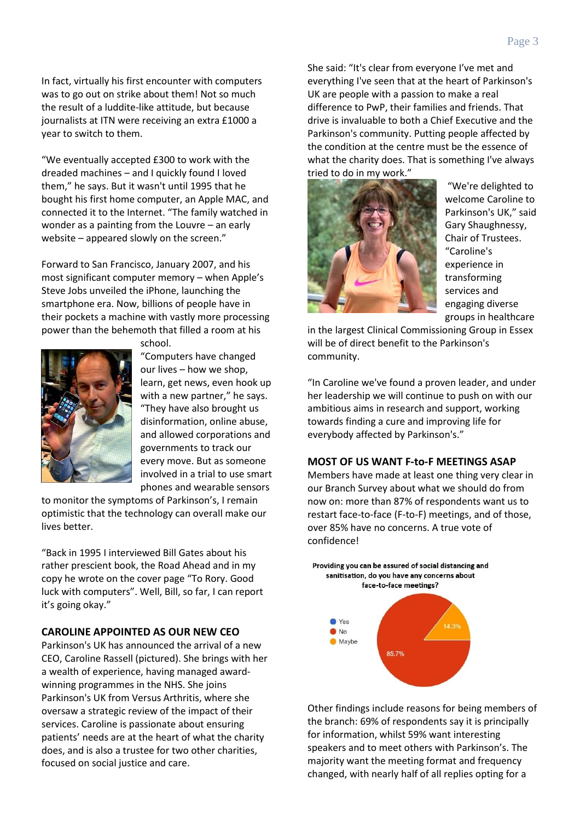In fact, virtually his first encounter with computers was to go out on strike about them! Not so much the result of a luddite-like attitude, but because journalists at ITN were receiving an extra £1000 a year to switch to them.

"We eventually accepted £300 to work with the dreaded machines – and I quickly found I loved them," he says. But it wasn't until 1995 that he bought his first home computer, an Apple MAC, and connected it to the Internet. "The family watched in wonder as a painting from the Louvre – an early website – appeared slowly on the screen."

Forward to San Francisco, January 2007, and his most significant computer memory – when Apple's Steve Jobs unveiled the iPhone, launching the smartphone era. Now, billions of people have in their pockets a machine with vastly more processing power than the behemoth that filled a room at his



school.

"Computers have changed our lives – how we shop, learn, get news, even hook up with a new partner," he says. "They have also brought us disinformation, online abuse, and allowed corporations and governments to track our every move. But as someone involved in a trial to use smart phones and wearable sensors

to monitor the symptoms of Parkinson's, I remain optimistic that the technology can overall make our lives better.

"Back in 1995 I interviewed Bill Gates about his rather prescient book, the Road Ahead and in my copy he wrote on the cover page "To Rory. Good luck with computers". Well, Bill, so far, I can report it's going okay."

#### **CAROLINE APPOINTED AS OUR NEW CEO**

Parkinson's UK has announced the arrival of a new CEO, Caroline Rassell (pictured). She brings with her a wealth of experience, having managed awardwinning programmes in the NHS. She joins Parkinson's UK from Versus Arthritis, where she oversaw a strategic review of the impact of their services. Caroline is passionate about ensuring patients' needs are at the heart of what the charity does, and is also a trustee for two other charities, focused on social justice and care.

She said: "It's clear from everyone I've met and everything I've seen that at the heart of Parkinson's UK are people with a passion to make a real difference to PwP, their families and friends. That drive is invaluable to both a Chief Executive and the Parkinson's community. Putting people affected by the condition at the centre must be the essence of what the charity does. That is something I've always tried to do in my work."



"We're delighted to welcome Caroline to Parkinson's UK," said Gary Shaughnessy, Chair of Trustees. "Caroline's experience in transforming services and engaging diverse groups in healthcare

in the largest Clinical Commissioning Group in Essex will be of direct benefit to the Parkinson's community.

"In Caroline we've found a proven leader, and under her leadership we will continue to push on with our ambitious aims in research and support, working towards finding a cure and improving life for everybody affected by Parkinson's."

#### **MOST OF US WANT F-to-F MEETINGS ASAP**

Members have made at least one thing very clear in our Branch Survey about what we should do from now on: more than 87% of respondents want us to restart face-to-face (F-to-F) meetings, and of those, over 85% have no concerns. A true vote of confidence!



Other findings include reasons for being members of the branch: 69% of respondents say it is principally for information, whilst 59% want interesting speakers and to meet others with Parkinson's. The majority want the meeting format and frequency changed, with nearly half of all replies opting for a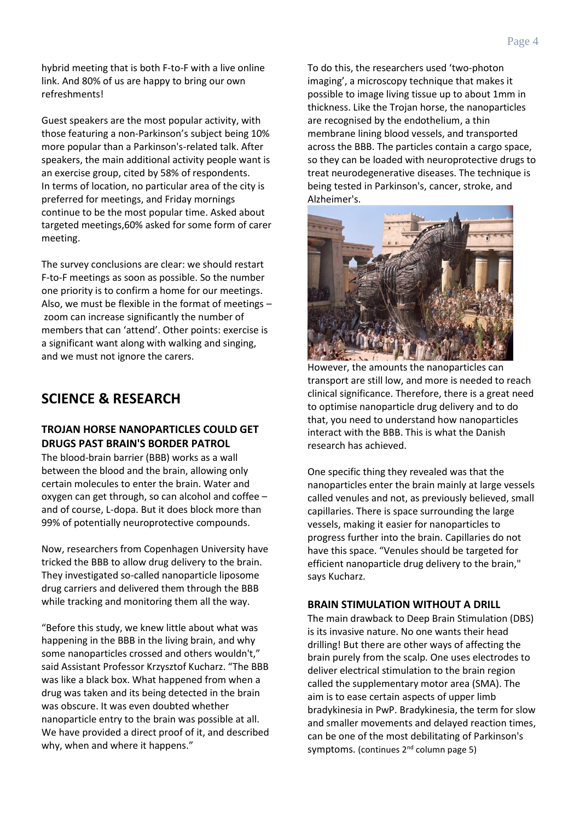hybrid meeting that is both F-to-F with a live online link. And 80% of us are happy to bring our own refreshments!

Guest speakers are the most popular activity, with those featuring a non-Parkinson's subject being 10% more popular than a Parkinson's-related talk. After speakers, the main additional activity people want is an exercise group, cited by 58% of respondents. In terms of location, no particular area of the city is preferred for meetings, and Friday mornings continue to be the most popular time. Asked about targeted meetings,60% asked for some form of carer meeting.

The survey conclusions are clear: we should restart F-to-F meetings as soon as possible. So the number one priority is to confirm a home for our meetings. Also, we must be flexible in the format of meetings – zoom can increase significantly the number of members that can 'attend'. Other points: exercise is a significant want along with walking and singing, and we must not ignore the carers.

# **SCIENCE & RESEARCH**

#### **TROJAN HORSE NANOPARTICLES COULD GET DRUGS PAST BRAIN'S BORDER PATROL**

The blood-brain barrier (BBB) works as a wall between the blood and the brain, allowing only certain molecules to enter the brain. Water and oxygen can get through, so can alcohol and coffee – and of course, L-dopa. But it does block more than 99% of potentially neuroprotective compounds.

Now, researchers from Copenhagen University have tricked the BBB to allow drug delivery to the brain. They investigated so-called nanoparticle liposome drug carriers and delivered them through the BBB while tracking and monitoring them all the way.

"Before this study, we knew little about what was happening in the BBB in the living brain, and why some nanoparticles crossed and others wouldn't," said Assistant Professor Krzysztof Kucharz. "The BBB was like a black box. What happened from when a drug was taken and its being detected in the brain was obscure. It was even doubted whether nanoparticle entry to the brain was possible at all. We have provided a direct proof of it, and described why, when and where it happens."

To do this, the researchers used 'two-photon imaging', a microscopy technique that makes it possible to image living tissue up to about 1mm in thickness. Like the Trojan horse, the nanoparticles are recognised by the endothelium, a thin membrane lining blood vessels, and transported across the BBB. The particles contain a cargo space, so they can be loaded with neuroprotective drugs to treat neurodegenerative diseases. The technique is being tested in Parkinson's, cancer, stroke, and Alzheimer's.



However, the amounts the nanoparticles can transport are still low, and more is needed to reach clinical significance. Therefore, there is a great need to optimise nanoparticle drug delivery and to do that, you need to understand how nanoparticles interact with the BBB. This is what the Danish research has achieved.

One specific thing they revealed was that the nanoparticles enter the brain mainly at large vessels called venules and not, as previously believed, small capillaries. There is space surrounding the large vessels, making it easier for nanoparticles to progress further into the brain. Capillaries do not have this space. "Venules should be targeted for efficient nanoparticle drug delivery to the brain," says Kucharz.

#### **BRAIN STIMULATION WITHOUT A DRILL**

The main drawback to Deep Brain Stimulation (DBS) is its invasive nature. No one wants their head drilling! But there are other ways of affecting the brain purely from the scalp. One uses electrodes to deliver electrical stimulation to the brain region called the supplementary motor area (SMA). The aim is to ease certain aspects of upper limb bradykinesia in PwP. Bradykinesia, the term for slow and smaller movements and delayed reaction times, can be one of the most debilitating of Parkinson's symptoms. (continues 2<sup>nd</sup> column page 5)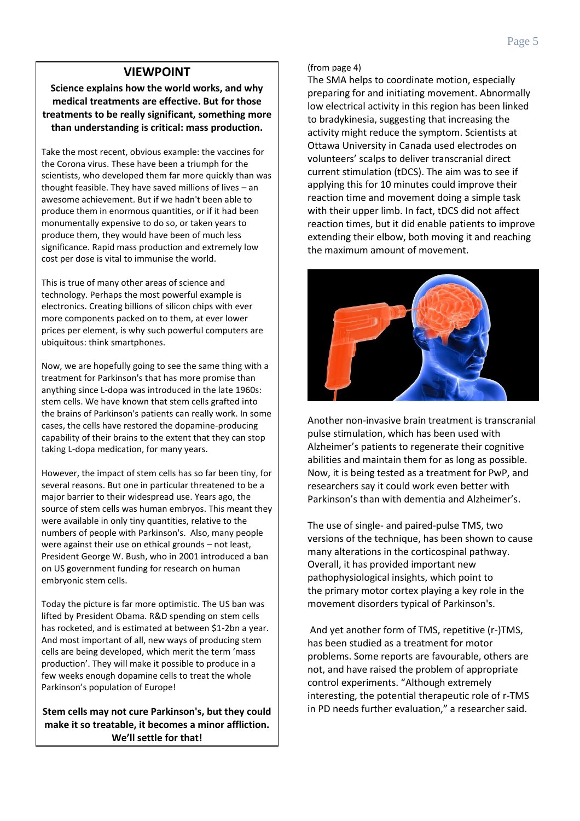## **VIEWPOINT**

**Science explains how the world works, and why medical treatments are effective. But for those treatments to be really significant, something more than understanding is critical: mass production.**

Take the most recent, obvious example: the vaccines for the Corona virus. These have been a triumph for the scientists, who developed them far more quickly than was thought feasible. They have saved millions of lives – an awesome achievement. But if we hadn't been able to produce them in enormous quantities, or if it had been monumentally expensive to do so, or taken years to produce them, they would have been of much less significance. Rapid mass production and extremely low cost per dose is vital to immunise the world.

This is true of many other areas of science and technology. Perhaps the most powerful example is electronics. Creating billions of silicon chips with ever more components packed on to them, at ever lower prices per element, is why such powerful computers are ubiquitous: think smartphones.

Now, we are hopefully going to see the same thing with a treatment for Parkinson's that has more promise than anything since L-dopa was introduced in the late 1960s: stem cells. We have known that stem cells grafted into the brains of Parkinson's patients can really work. In some cases, the cells have restored the dopamine-producing capability of their brains to the extent that they can stop taking L-dopa medication, for many years.

However, the impact of stem cells has so far been tiny, for several reasons. But one in particular threatened to be a major barrier to their widespread use. Years ago, the source of stem cells was human embryos. This meant they were available in only tiny quantities, relative to the numbers of people with Parkinson's. Also, many people were against their use on ethical grounds – not least, President George W. Bush, who in 2001 introduced a ban on US government funding for research on human embryonic stem cells.

Today the picture is far more optimistic. The US ban was lifted by President Obama. R&D spending on stem cells has rocketed, and is estimated at between \$1-2bn a year. And most important of all, new ways of producing stem cells are being developed, which merit the term 'mass production'. They will make it possible to produce in a few weeks enough dopamine cells to treat the whole Parkinson's population of Europe!

**Stem cells may not cure Parkinson's, but they could make it so treatable, it becomes a minor affliction. We'll settle for that!**

#### (from page 4)

The SMA helps to coordinate motion, especially preparing for and initiating movement. Abnormally low electrical activity in this region has been linked to bradykinesia, suggesting that increasing the activity might reduce the symptom. Scientists at Ottawa University in Canada used electrodes on volunteers' scalps to deliver transcranial direct current stimulation (tDCS). The aim was to see if applying this for 10 minutes could improve their reaction time and movement doing a simple task with their upper limb. In fact, tDCS did not affect reaction times, but it did enable patients to improve extending their elbow, both moving it and reaching the maximum amount of movement.



Another non-invasive brain treatment is transcranial pulse stimulation, which has been used with Alzheimer's patients to regenerate their cognitive abilities and maintain them for as long as possible. Now, it is being tested as a treatment for PwP, and researchers say it could work even better with Parkinson's than with dementia and Alzheimer's.

The use of single- and paired-pulse TMS, two versions of the technique, has been shown to cause many alterations in the corticospinal pathway. Overall, it has provided important new pathophysiological insights, which point to the [primary motor cortex](https://www.sciencedirect.com/topics/neuroscience/primary-motor-cortex) playing a key role in the movement disorders typical of Parkinson's.

And yet another form of TMS, repetitive (r-)TMS, has been studied as a treatment for motor problems. Some reports are favourable, others are not, and have raised the problem of appropriate control experiments. "Although extremely interesting, the potential therapeutic role of r-TMS in PD needs further evaluation," a researcher said.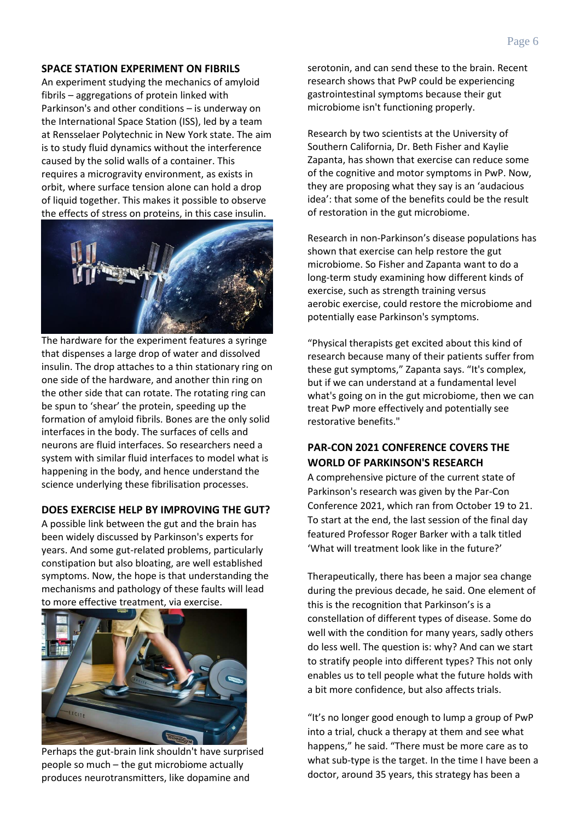#### **SPACE STATION EXPERIMENT ON FIBRILS**

An experiment studying the mechanics of amyloid fibrils – aggregations of protein linked with Parkinson's and other conditions – is underway on the International Space Station (ISS), led by a team at Rensselaer Polytechnic in New York state. The aim is to study fluid dynamics without the interference caused by the solid walls of a container. This requires a microgravity environment, as exists in orbit, where surface tension alone can hold a drop of liquid together. This makes it possible to observe the effects of stress on proteins, in this case insulin.



The hardware for the experiment features a syringe that dispenses a large drop of water and dissolved insulin. The drop attaches to a thin stationary ring on one side of the hardware, and another thin ring on the other side that can rotate. The rotating ring can be spun to 'shear' the protein, speeding up the formation of amyloid fibrils. Bones are the only solid interfaces in the body. The surfaces of cells and neurons are fluid interfaces. So researchers need a system with similar fluid interfaces to model what is happening in the body, and hence understand the science underlying these fibrilisation processes.

#### **DOES EXERCISE HELP BY IMPROVING THE GUT?**

A possible link between the gut and the brain has been widely discussed by Parkinson's experts for years. And some gut-related problems, particularly constipation but also bloating, are well established symptoms. Now, the hope is that understanding the mechanisms and pathology of these faults will lead to more effective treatment, via exercise.



Perhaps the gut-brain link shouldn't have surprised people so much – the gut microbiome actually produces neurotransmitters, like dopamine and

serotonin, and can send these to the brain. Recent research shows that PwP could be experiencing gastrointestinal symptoms because their gut microbiome isn't functioning properly.

Research by two scientists at the University of Southern California, Dr. Beth Fisher and Kaylie Zapanta, has shown that exercise can reduce some of the cognitive and motor symptoms in PwP. Now, they are proposing what they say is an 'audacious idea': that some of the benefits could be the result of restoration in the gut microbiome.

Research in non-Parkinson's disease populations has shown that exercise can help restore the gut microbiome. So Fisher and Zapanta want to do a long-term study examining how different kinds of exercise, such as strength training versus aerobic [exercise,](https://medicalxpress.com/tags/exercise/) could restore the microbiome and potentially ease Parkinson's symptoms.

"Physical therapists get excited about this kind of research because many of their patients suffer from these gut symptoms," Zapanta says. "It's complex, but if we can understand at a fundamental level what's going on in the gut microbiome, then we can treat PwP more effectively and potentially see restorative benefits."

#### **PAR-CON 2021 CONFERENCE COVERS THE WORLD OF PARKINSON'S RESEARCH**

A comprehensive picture of the current state of Parkinson's research was given by the Par-Con Conference 2021, which ran from October 19 to 21. To start at the end, the last session of the final day featured Professor Roger Barker with a talk titled 'What will treatment look like in the future?'

Therapeutically, there has been a major sea change during the previous decade, he said. One element of this is the recognition that Parkinson's is a constellation of different types of disease. Some do well with the condition for many years, sadly others do less well. The question is: why? And can we start to stratify people into different types? This not only enables us to tell people what the future holds with a bit more confidence, but also affects trials.

"It's no longer good enough to lump a group of PwP into a trial, chuck a therapy at them and see what happens," he said. "There must be more care as to what sub-type is the target. In the time I have been a doctor, around 35 years, this strategy has been a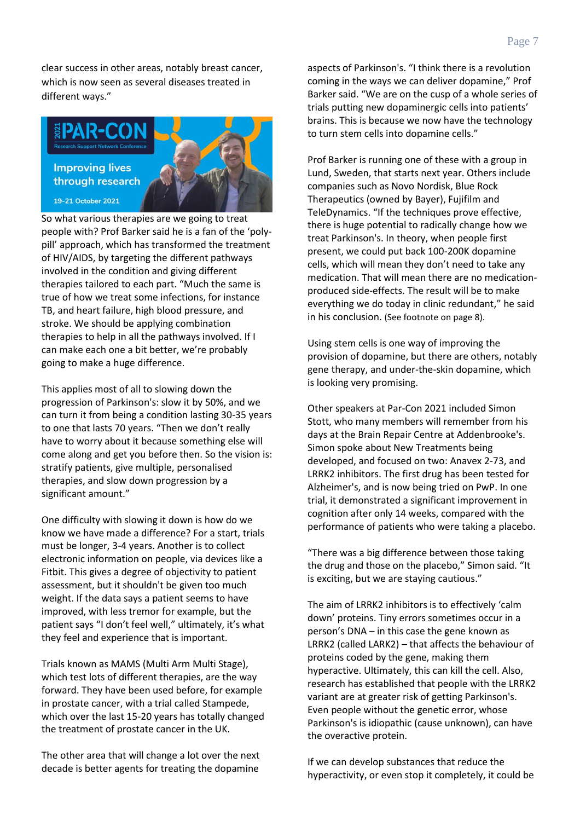clear success in other areas, notably breast cancer, which is now seen as several diseases treated in different ways."



So what various therapies are we going to treat people with? Prof Barker said he is a fan of the 'polypill' approach, which has transformed the treatment of HIV/AIDS, by targeting the different pathways involved in the condition and giving different therapies tailored to each part. "Much the same is true of how we treat some infections, for instance TB, and heart failure, high blood pressure, and stroke. We should be applying combination therapies to help in all the pathways involved. If I can make each one a bit better, we're probably going to make a huge difference.

This applies most of all to slowing down the progression of Parkinson's: slow it by 50%, and we can turn it from being a condition lasting 30-35 years to one that lasts 70 years. "Then we don't really have to worry about it because something else will come along and get you before then. So the vision is: stratify patients, give multiple, personalised therapies, and slow down progression by a significant amount."

One difficulty with slowing it down is how do we know we have made a difference? For a start, trials must be longer, 3-4 years. Another is to collect electronic information on people, via devices like a Fitbit. This gives a degree of objectivity to patient assessment, but it shouldn't be given too much weight. If the data says a patient seems to have improved, with less tremor for example, but the patient says "I don't feel well," ultimately, it's what they feel and experience that is important.

Trials known as MAMS (Multi Arm Multi Stage), which test lots of different therapies, are the way forward. They have been used before, for example in prostate cancer, with a trial called Stampede, which over the last 15-20 years has totally changed the treatment of prostate cancer in the UK.

The other area that will change a lot over the next decade is better agents for treating the dopamine

aspects of Parkinson's. "I think there is a revolution coming in the ways we can deliver dopamine," Prof Barker said. "We are on the cusp of a whole series of trials putting new dopaminergic cells into patients' brains. This is because we now have the technology to turn stem cells into dopamine cells."

Prof Barker is running one of these with a group in Lund, Sweden, that starts next year. Others include companies such as Novo Nordisk, Blue Rock Therapeutics (owned by Bayer), Fujifilm and TeleDynamics. "If the techniques prove effective, there is huge potential to radically change how we treat Parkinson's. In theory, when people first present, we could put back 100-200K dopamine cells, which will mean they don't need to take any medication. That will mean there are no medicationproduced side-effects. The result will be to make everything we do today in clinic redundant," he said in his conclusion. (See footnote on page 8).

Using stem cells is one way of improving the provision of dopamine, but there are others, notably gene therapy, and under-the-skin dopamine, which is looking very promising.

Other speakers at Par-Con 2021 included Simon Stott, who many members will remember from his days at the Brain Repair Centre at Addenbrooke's. Simon spoke about New Treatments being developed, and focused on two: Anavex 2-73, and LRRK2 inhibitors. The first drug has been tested for Alzheimer's, and is now being tried on PwP. In one trial, it demonstrated a significant improvement in cognition after only 14 weeks, compared with the performance of patients who were taking a placebo.

"There was a big difference between those taking the drug and those on the placebo," Simon said. "It is exciting, but we are staying cautious."

The aim of LRRK2 inhibitors is to effectively 'calm down' proteins. Tiny errors sometimes occur in a person's DNA – in this case the gene known as LRRK2 (called LARK2) – that affects the behaviour of proteins coded by the gene, making them hyperactive. Ultimately, this can kill the cell. Also, research has established that people with the LRRK2 variant are at greater risk of getting Parkinson's. Even people without the genetic error, whose Parkinson's is idiopathic (cause unknown), can have the overactive protein.

If we can develop substances that reduce the hyperactivity, or even stop it completely, it could be